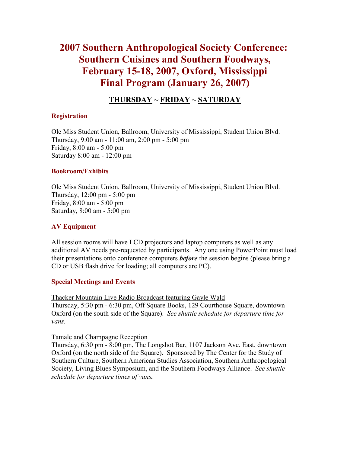# **2007 Southern Anthropological Society Conference: Southern Cuisines and Southern Foodways, February 15-18, 2007, Oxford, Mississippi Final Program (January 26, 2007)**

# **[THURSDAY](http://www.southernanthro.org/SAS_2007_Program.htm#THURSDAY#THURSDAY) ~ [FRIDAY](http://www.southernanthro.org/SAS_2007_Program.htm#FRIDAY#FRIDAY) ~ [SATURDAY](http://www.southernanthro.org/SAS_2007_Program.htm#SATURDAY#SATURDAY)**

### **Registration**

Ole Miss Student Union, Ballroom, University of Mississippi, Student Union Blvd. Thursday, 9:00 am - 11:00 am, 2:00 pm - 5:00 pm Friday, 8:00 am - 5:00 pm Saturday 8:00 am - 12:00 pm

### **Bookroom/Exhibits**

Ole Miss Student Union, Ballroom, University of Mississippi, Student Union Blvd. Thursday, 12:00 pm - 5:00 pm Friday, 8:00 am - 5:00 pm Saturday, 8:00 am - 5:00 pm

### **AV Equipment**

All session rooms will have LCD projectors and laptop computers as well as any additional AV needs pre-requested by participants. Any one using PowerPoint must load their presentations onto conference computers *before* the session begins (please bring a CD or USB flash drive for loading; all computers are PC).

### **Special Meetings and Events**

Thacker Mountain Live Radio Broadcast featuring Gayle Wald Thursday, 5:30 pm - 6:30 pm, Off Square Books, 129 Courthouse Square, downtown Oxford (on the south side of the Square). *See shuttle schedule for departure time for vans.*

Tamale and Champagne Reception

Thursday, 6:30 pm - 8:00 pm, The Longshot Bar, 1107 Jackson Ave. East, downtown Oxford (on the north side of the Square). Sponsored by The Center for the Study of Southern Culture, Southern American Studies Association, Southern Anthropological Society, Living Blues Symposium, and the Southern Foodways Alliance. *See shuttle schedule for departure times of vans.*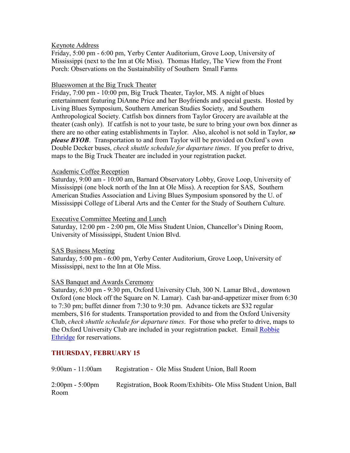### Keynote Address

Friday, 5:00 pm - 6:00 pm, Yerby Center Auditorium, Grove Loop, University of Mississippi (next to the Inn at Ole Miss). Thomas Hatley, The View from the Front Porch: Observations on the Sustainability of Southern Small Farms

### Blueswomen at the Big Truck Theater

Friday, 7:00 pm - 10:00 pm, Big Truck Theater, Taylor, MS. A night of blues entertainment featuring DiAnne Price and her Boyfriends and special guests. Hosted by Living Blues Symposium, Southern American Studies Society, and Southern Anthropological Society. Catfish box dinners from Taylor Grocery are available at the theater (cash only). If catfish is not to your taste, be sure to bring your own box dinner as there are no other eating establishments in Taylor. Also, alcohol is not sold in Taylor, *so please BYOB*. Transportation to and from Taylor will be provided on Oxford's own Double Decker buses, *check shuttle schedule for departure times*. If you prefer to drive, maps to the Big Truck Theater are included in your registration packet.

#### Academic Coffee Reception

Saturday, 9:00 am - 10:00 am, Barnard Observatory Lobby, Grove Loop, University of Mississippi (one block north of the Inn at Ole Miss). A reception for SAS, Southern American Studies Association and Living Blues Symposium sponsored by the U. of Mississippi College of Liberal Arts and the Center for the Study of Southern Culture.

#### Executive Committee Meeting and Lunch

Saturday, 12:00 pm - 2:00 pm, Ole Miss Student Union, Chancellor's Dining Room, University of Mississippi, Student Union Blvd.

### SAS Business Meeting

Saturday, 5:00 pm - 6:00 pm, Yerby Center Auditorium, Grove Loop, University of Mississippi, next to the Inn at Ole Miss.

### SAS Banquet and Awards Ceremony

Saturday, 6:30 pm - 9:30 pm, Oxford University Club, 300 N. Lamar Blvd., downtown Oxford (one block off the Square on N. Lamar). Cash bar-and-appetizer mixer from 6:30 to 7:30 pm; buffet dinner from 7:30 to 9:30 pm. Advance tickets are \$32 regular members, \$16 for students. Transportation provided to and from the Oxford University Club, *check shuttle schedule for departure times*. For those who prefer to drive, maps to the Oxford University Club are included in your registration packet. Email [Robbie](mailto:rethridg@olemiss.edu?subject=Banquet%20Reservations)  [Ethridge](mailto:rethridg@olemiss.edu?subject=Banquet%20Reservations) for reservations.

### **THURSDAY, FEBRUARY 15**

| $9:00$ am - 11:00am                       | Registration - Ole Miss Student Union, Ball Room               |
|-------------------------------------------|----------------------------------------------------------------|
| $2:00 \text{pm} - 5:00 \text{pm}$<br>Room | Registration, Book Room/Exhibits- Ole Miss Student Union, Ball |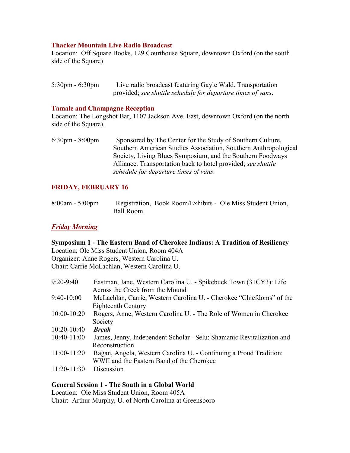### **Thacker Mountain Live Radio Broadcast**

Location: Off Square Books, 129 Courthouse Square, downtown Oxford (on the south side of the Square)

| $5:30 \text{pm} - 6:30 \text{pm}$ | Live radio broadcast featuring Gayle Wald. Transportation   |
|-----------------------------------|-------------------------------------------------------------|
|                                   | provided; see shuttle schedule for departure times of vans. |

### **Tamale and Champagne Reception**

Location: The Longshot Bar, 1107 Jackson Ave. East, downtown Oxford (on the north side of the Square).

6:30pm - 8:00pm Sponsored by The Center for the Study of Southern Culture, Southern American Studies Association, Southern Anthropological Society, Living Blues Symposium, and the Southern Foodways Alliance. Transportation back to hotel provided; *see shuttle schedule for departure times of vans*.

# **FRIDAY, FEBRUARY 16**

| $8:00am - 5:00pm$ |           | Registration, Book Room/Exhibits - Ole Miss Student Union, |  |
|-------------------|-----------|------------------------------------------------------------|--|
|                   | Ball Room |                                                            |  |

### *Friday Morning*

### **Symposium 1 - The Eastern Band of Cherokee Indians: A Tradition of Resiliency**  Location: Ole Miss Student Union, Room 404A Organizer: Anne Rogers, Western Carolina U.

Chair: Carrie McLachlan, Western Carolina U.

| $9:20-9:40$   | Eastman, Jane, Western Carolina U. - Spikebuck Town (31CY3): Life<br>Across the Creek from the Mound |
|---------------|------------------------------------------------------------------------------------------------------|
| $9:40-10:00$  | McLachlan, Carrie, Western Carolina U. - Cherokee "Chiefdoms" of the                                 |
|               | Eighteenth Century                                                                                   |
| $10:00-10:20$ | Rogers, Anne, Western Carolina U. - The Role of Women in Cherokee                                    |
|               | Society                                                                                              |
| $10:20-10:40$ | <b>Break</b>                                                                                         |
| $10:40-11:00$ | James, Jenny, Independent Scholar - Selu: Shamanic Revitalization and                                |
|               | Reconstruction                                                                                       |
| $11:00-11:20$ | Ragan, Angela, Western Carolina U. - Continuing a Proud Tradition:                                   |
|               | WWII and the Eastern Band of the Cherokee                                                            |
| $11:20-11:30$ | Discussion                                                                                           |

### **General Session 1 - The South in a Global World**

Location: Ole Miss Student Union, Room 405A Chair: Arthur Murphy, U. of North Carolina at Greensboro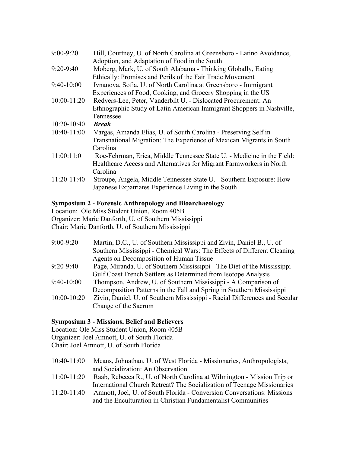| $9:00-9:20$     | Hill, Courtney, U. of North Carolina at Greensboro - Latino Avoidance,<br>Adoption, and Adaptation of Food in the South |
|-----------------|-------------------------------------------------------------------------------------------------------------------------|
| $9:20-9:40$     | Moberg, Mark, U. of South Alabama - Thinking Globally, Eating                                                           |
|                 | Ethically: Promises and Perils of the Fair Trade Movement                                                               |
| $9:40-10:00$    | Ivnanova, Sofia, U. of North Carolina at Greensboro - Immigrant                                                         |
|                 | Experiences of Food, Cooking, and Grocery Shopping in the US                                                            |
| $10:00 - 11:20$ | Redvers-Lee, Peter, Vanderbilt U. - Dislocated Procurement: An                                                          |
|                 | Ethnographic Study of Latin American Immigrant Shoppers in Nashville,                                                   |
|                 | Tennessee                                                                                                               |
| $10:20-10:40$   | <b>Break</b>                                                                                                            |
| $10:40-11:00$   | Vargas, Amanda Elias, U. of South Carolina - Preserving Self in                                                         |
|                 | Transnational Migration: The Experience of Mexican Migrants in South                                                    |
|                 | Carolina                                                                                                                |
| 11:00:11:0      | Roe-Fehrman, Erica, Middle Tennessee State U. - Medicine in the Field:                                                  |
|                 | Healthcare Access and Alternatives for Migrant Farmworkers in North                                                     |
|                 | Carolina                                                                                                                |
| $11:20-11:40$   | Stroupe, Angela, Middle Tennessee State U. - Southern Exposure: How                                                     |
|                 | Japanese Expatriates Experience Living in the South                                                                     |

## **Symposium 2 - Forensic Anthropology and Bioarchaeology**

Location: Ole Miss Student Union, Room 405B Organizer: Marie Danforth, U. of Southern Mississippi Chair: Marie Danforth, U. of Southern Mississippi

| $9:00-9:20$   | Martin, D.C., U. of Southern Mississippi and Zivin, Daniel B., U. of       |
|---------------|----------------------------------------------------------------------------|
|               | Southern Mississippi - Chemical Wars: The Effects of Different Cleaning    |
|               | Agents on Decomposition of Human Tissue                                    |
| $9:20-9:40$   | Page, Miranda, U. of Southern Mississippi - The Diet of the Mississippi    |
|               | Gulf Coast French Settlers as Determined from Isotope Analysis             |
| $9:40-10:00$  | Thompson, Andrew, U. of Southern Mississippi - A Comparison of             |
|               | Decomposition Patterns in the Fall and Spring in Southern Mississippi      |
| $10:00-10:20$ | Zivin, Daniel, U. of Southern Mississippi - Racial Differences and Secular |
|               | Change of the Sacrum                                                       |

# **Symposium 3 - Missions, Belief and Believers**

Location: Ole Miss Student Union, Room 405B Organizer: Joel Amnott, U. of South Florida Chair: Joel Amnott, U. of South Florida

| $10:40-11:00$ | Means, Johnathan, U. of West Florida - Missionaries, Anthropologists,   |
|---------------|-------------------------------------------------------------------------|
|               | and Socialization: An Observation                                       |
| $11:00-11:20$ | Raab, Rebecca R., U. of North Carolina at Wilmington - Mission Trip or  |
|               | International Church Retreat? The Socialization of Teenage Missionaries |

11:20-11:40 Amnott, Joel, U. of South Florida - Conversion Conversations: Missions and the Enculturation in Christian Fundamentalist Communities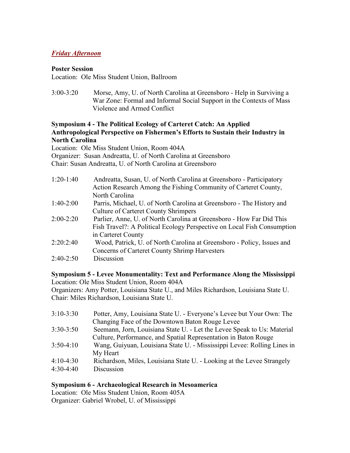# *Friday Afternoon*

### **Poster Session**

Location: Ole Miss Student Union, Ballroom

3:00-3:20 Morse, Amy, U. of North Carolina at Greensboro - Help in Surviving a War Zone: Formal and Informal Social Support in the Contexts of Mass Violence and Armed Conflict

# **Symposium 4 - The Political Ecology of Carteret Catch: An Applied Anthropological Perspective on Fishermen's Efforts to Sustain their Industry in North Carolina**

Location: Ole Miss Student Union, Room 404A

Organizer: Susan Andreatta, U. of North Carolina at Greensboro

Chair: Susan Andreatta, U. of North Carolina at Greensboro

| $1:20-1:40$ | Andreatta, Susan, U. of North Carolina at Greensboro - Participatory<br>Action Research Among the Fishing Community of Carteret County, |
|-------------|-----------------------------------------------------------------------------------------------------------------------------------------|
|             | North Carolina                                                                                                                          |
| $1:40-2:00$ | Parris, Michael, U. of North Carolina at Greensboro - The History and                                                                   |
|             | <b>Culture of Carteret County Shrimpers</b>                                                                                             |
| $2:00-2:20$ | Parlier, Anne, U. of North Carolina at Greensboro - How Far Did This                                                                    |
|             | Fish Travel?: A Political Ecology Perspective on Local Fish Consumption                                                                 |
|             | in Carteret County                                                                                                                      |
| 2:20:2:40   | Wood, Patrick, U. of North Carolina at Greensboro - Policy, Issues and                                                                  |
|             | Concerns of Carteret County Shrimp Harvesters                                                                                           |
| $2:40-2:50$ | Discussion                                                                                                                              |
|             |                                                                                                                                         |

### **Symposium 5 - Levee Monumentality: Text and Performance Along the Mississippi** Location: Ole Miss Student Union, Room 404A

Organizers: Amy Potter, Louisiana State U., and Miles Richardson, Louisiana State U. Chair: Miles Richardson, Louisiana State U.

| Potter, Amy, Louisiana State U. - Everyone's Levee but Your Own: The<br>$3:10-3:30$    |  |
|----------------------------------------------------------------------------------------|--|
| Changing Face of the Downtown Baton Rouge Levee                                        |  |
| Seemann, Jorn, Louisiana State U. - Let the Levee Speak to Us: Material<br>$3:30-3:50$ |  |
| Culture, Performance, and Spatial Representation in Baton Rouge                        |  |
| Wang, Guiyuan, Louisiana State U. - Mississippi Levee: Rolling Lines in<br>$3:50-4:10$ |  |
| My Heart                                                                               |  |
| Richardson, Miles, Louisiana State U. - Looking at the Levee Strangely<br>$4:10-4:30$  |  |
| Discussion<br>$4:30-4:40$                                                              |  |

# **Symposium 6 - Archaeological Research in Mesoamerica**

Location: Ole Miss Student Union, Room 405A Organizer: Gabriel Wrobel, U. of Mississippi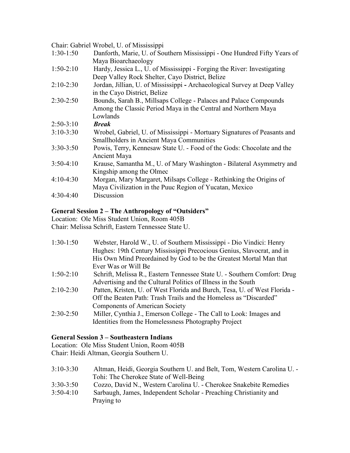Chair: Gabriel Wrobel, U. of Mississippi

| $1:30-1:50$ | Danforth, Marie, U. of Southern Mississippi - One Hundred Fifty Years of  |
|-------------|---------------------------------------------------------------------------|
|             | Maya Bioarchaeology                                                       |
| $1:50-2:10$ | Hardy, Jessica L., U. of Mississippi - Forging the River: Investigating   |
|             | Deep Valley Rock Shelter, Cayo District, Belize                           |
| $2:10-2:30$ | Jordan, Jillian, U. of Mississippi - Archaeological Survey at Deep Valley |
|             | in the Cayo District, Belize                                              |
| $2:30-2:50$ | Bounds, Sarah B., Millsaps College - Palaces and Palace Compounds         |
|             | Among the Classic Period Maya in the Central and Northern Maya            |
|             | Lowlands                                                                  |
| $2:50-3:10$ | <b>Break</b>                                                              |
| $3:10-3:30$ | Wrobel, Gabriel, U. of Mississippi - Mortuary Signatures of Peasants and  |
|             | <b>Smallholders in Ancient Maya Communities</b>                           |
| $3:30-3:50$ | Powis, Terry, Kennesaw State U. - Food of the Gods: Chocolate and the     |
|             | Ancient Maya                                                              |
| $3:50-4:10$ | Krause, Samantha M., U. of Mary Washington - Bilateral Asymmetry and      |
|             | Kingship among the Olmec                                                  |
| $4:10-4:30$ | Morgan, Mary Margaret, Milsaps College - Rethinking the Origins of        |
|             | Maya Civilization in the Puuc Region of Yucatan, Mexico                   |
| $4:30-4:40$ | Discussion                                                                |
|             |                                                                           |

# **General Session 2 – The Anthropology of "Outsiders"**

Location: Ole Miss Student Union, Room 405B

Chair: Melissa Schrift, Eastern Tennessee State U.

| $1:30-1:50$ | Webster, Harold W., U. of Southern Mississippi - Dio Vindici: Henry<br>Hughes: 19th Century Mississippi Precocious Genius, Slavocrat, and in |
|-------------|----------------------------------------------------------------------------------------------------------------------------------------------|
|             | His Own Mind Preordained by God to be the Greatest Mortal Man that                                                                           |
|             | Ever Was or Will Be                                                                                                                          |
| $1:50-2:10$ | Schrift, Melissa R., Eastern Tennessee State U. - Southern Comfort: Drug                                                                     |
|             | Advertising and the Cultural Politics of Illness in the South                                                                                |
| $2:10-2:30$ | Patten, Kristen, U. of West Florida and Burch, Tesa, U. of West Florida -                                                                    |
|             | Off the Beaten Path: Trash Trails and the Homeless as "Discarded"                                                                            |
|             | <b>Components of American Society</b>                                                                                                        |
| $2:30-2:50$ | Miller, Cynthia J., Emerson College - The Call to Look: Images and                                                                           |
|             | Identities from the Homelessness Photography Project                                                                                         |

# **General Session 3 – Southeastern Indians**

Location: Ole Miss Student Union, Room 405B Chair: Heidi Altman, Georgia Southern U.

| $3:10-3:30$ | Altman, Heidi, Georgia Southern U. and Belt, Tom, Western Carolina U. - |
|-------------|-------------------------------------------------------------------------|
|             | Tohi: The Cherokee State of Well-Being                                  |
| $3:30-3:50$ | Cozzo, David N., Western Carolina U. - Cherokee Snakebite Remedies      |
| $3:50-4:10$ | Sarbaugh, James, Independent Scholar - Preaching Christianity and       |
|             | Praying to                                                              |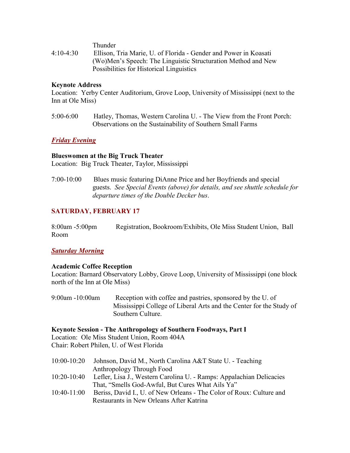Thunder

4:10-4:30 Ellison, Tria Marie, U. of Florida - Gender and Power in Koasati (Wo)Men's Speech: The Linguistic Structuration Method and New Possibilities for Historical Linguistics

### **Keynote Address**

Location: Yerby Center Auditorium, Grove Loop, University of Mississippi (next to the Inn at Ole Miss)

5:00-6:00 Hatley, Thomas, Western Carolina U. - The View from the Front Porch: Observations on the Sustainability of Southern Small Farms

### *Friday Evening*

### **Blueswomen at the Big Truck Theater**

Location: Big Truck Theater, Taylor, Mississippi

7:00-10:00 Blues music featuring DiAnne Price and her Boyfriends and special guests. *See Special Events (above) for details, and see shuttle schedule for departure times of the Double Decker bus*.

# **SATURDAY, FEBRUARY 17**

| $8:00$ am -5:00pm | Registration, Bookroom/Exhibits, Ole Miss Student Union, Ball |  |  |
|-------------------|---------------------------------------------------------------|--|--|
| Room              |                                                               |  |  |

# *Saturday Morning*

### **Academic Coffee Reception**

Location: Barnard Observatory Lobby, Grove Loop, University of Mississippi (one block north of the Inn at Ole Miss)

9:00am -10:00am Reception with coffee and pastries, sponsored by the U. of Mississippi College of Liberal Arts and the Center for the Study of Southern Culture.

### **Keynote Session - The Anthropology of Southern Foodways, Part I**

Location: Ole Miss Student Union, Room 404A Chair: Robert Philen, U. of West Florida

10:00-10:20 Johnson, David M., North Carolina A&T State U. - Teaching Anthropology Through Food 10:20-10:40 Lefler, Lisa J., Western Carolina U. - Ramps: Appalachian Delicacies That, "Smells God-Awful, But Cures What Ails Ya" 10:40-11:00 Beriss, David I., U. of New Orleans - The Color of Roux: Culture and Restaurants in New Orleans After Katrina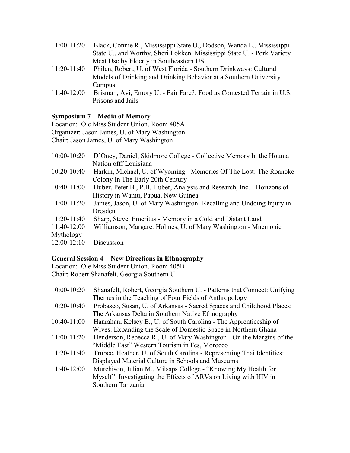| $11:00-11:20$   | Black, Connie R., Mississippi State U., Dodson, Wanda L., Mississippi   |
|-----------------|-------------------------------------------------------------------------|
|                 | State U., and Worthy, Sheri Lokken, Mississippi State U. - Pork Variety |
|                 | Meat Use by Elderly in Southeastern US                                  |
| $11:20-11:40$   | Philen, Robert, U. of West Florida - Southern Drinkways: Cultural       |
|                 | Models of Drinking and Drinking Behavior at a Southern University       |
|                 | Campus                                                                  |
| $11.40 - 12.00$ | $Rrisman$ Avi $FmorvU$ - Fair $Fare?$ Food as Contested Terrain in U.S. |

11:40-12:00 Brisman, Avi, Emory U. - Fair Fare?: Food as Contested Terrain in U.S. Prisons and Jails

# **Symposium 7 – Media of Memory**

Location: Ole Miss Student Union, Room 405A Organizer: Jason James, U. of Mary Washington Chair: Jason James, U. of Mary Washington

| $10:00 - 10:20$ | D'Oney, Daniel, Skidmore College - Collective Memory In the Houma      |
|-----------------|------------------------------------------------------------------------|
|                 | Nation offf Louisiana                                                  |
| $10:20-10:40$   | Harkin, Michael, U. of Wyoming - Memories Of The Lost: The Roanoke     |
|                 | Colony In The Early 20th Century                                       |
| $10:40-11:00$   | Huber, Peter B., P.B. Huber, Analysis and Research, Inc. - Horizons of |
|                 | History in Wamu, Papua, New Guinea                                     |
| $11:00-11:20$   | James, Jason, U. of Mary Washington-Recalling and Undoing Injury in    |
|                 | Dresden                                                                |
| $11:20-11:40$   | Sharp, Steve, Emeritus - Memory in a Cold and Distant Land             |
| $11:40-12:00$   | Williamson, Margaret Holmes, U. of Mary Washington - Mnemonic          |
| Mythology       |                                                                        |
| $12:00-12:10$   | Discussion                                                             |

# **General Session 4 - New Directions in Ethnography**

Location: Ole Miss Student Union, Room 405B Chair: Robert Shanafelt, Georgia Southern U.

| Shanafelt, Robert, Georgia Southern U. - Patterns that Connect: Unifying |
|--------------------------------------------------------------------------|
| Themes in the Teaching of Four Fields of Anthropology                    |
| Probasco, Susan, U. of Arkansas - Sacred Spaces and Childhood Places:    |
| The Arkansas Delta in Southern Native Ethnography                        |
| Hanrahan, Kelsey B., U. of South Carolina - The Apprenticeship of        |
| Wives: Expanding the Scale of Domestic Space in Northern Ghana           |
| Henderson, Rebecca R., U. of Mary Washington - On the Margins of the     |
| "Middle East" Western Tourism in Fes, Morocco                            |
| Trubee, Heather, U. of South Carolina - Representing Thai Identities:    |
| Displayed Material Culture in Schools and Museums                        |
| Murchison, Julian M., Milsaps College - "Knowing My Health for           |
| Myself": Investigating the Effects of ARVs on Living with HIV in         |
| Southern Tanzania                                                        |
|                                                                          |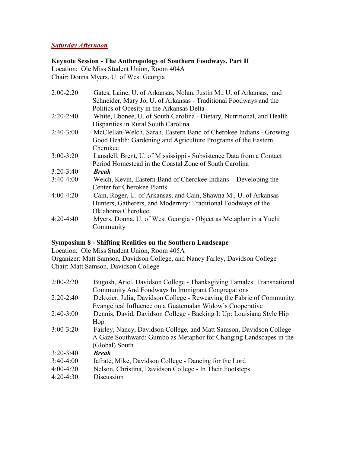# *Saturday Afternoon*

# **Keynote Session - The Anthropology of Southern Foodways, Part II**

Location: Ole Miss Student Union, Room 404A Chair: Donna Myers, U. of West Georgia

| $2:00-2:20$   | Gates, Laine, U. of Arkansas, Nolan, Justin M., U. of Arkansas, and<br>Schneider, Mary Jo, U. of Arkansas - Traditional Foodways and the |
|---------------|------------------------------------------------------------------------------------------------------------------------------------------|
|               | Politics of Obesity in the Arkansas Delta                                                                                                |
| $2:20-2:40$   | White, Ebonee, U. of South Carolina - Dietary, Nutritional, and Health                                                                   |
|               | Disparities in Rural South Carolina                                                                                                      |
| $2:40-3:00$   | McClellan-Welch, Sarah, Eastern Band of Cherokee Indians - Growing                                                                       |
|               | Good Health: Gardening and Agriculture Programs of the Eastern                                                                           |
|               | Cherokee                                                                                                                                 |
| $3:00 - 3:20$ | Lansdell, Brent, U. of Mississippi - Subsistence Data from a Contact                                                                     |
|               | Period Homestead in the Coastal Zone of South Carolina                                                                                   |
| $3:20-3:40$   | <b>Break</b>                                                                                                                             |
| $3:40-4:00$   | Welch, Kevin, Eastern Band of Cherokee Indians - Developing the                                                                          |
|               | <b>Center for Cherokee Plants</b>                                                                                                        |
| $4:00-4:20$   | Cain, Roger, U. of Arkansas, and Cain, Shawna M., U. of Arkansas -                                                                       |
|               | Hunters, Gatherers, and Modernity: Traditional Foodways of the                                                                           |
|               | Oklahoma Cherokee                                                                                                                        |
| $4:20-4:40$   | Myers, Donna, U. of West Georgia - Object as Metaphor in a Yuchi                                                                         |
|               | Community                                                                                                                                |

# **Symposium 8 - Shifting Realities on the Southern Landscape**

Location: Ole Miss Student Union, Room 405A

Organizer: Matt Samson, Davidson College, and Nancy Farley, Davidson College Chair: Matt Samson, Davidson College

| $2:00-2:20$   | Bugosh, Ariel, Davidson College - Thanksgiving Tamales: Transnational  |
|---------------|------------------------------------------------------------------------|
|               | Community And Foodways In Immigrant Congregations                      |
| $2:20-2:40$   | Delozier, Julia, Davidson College - Reweaving the Fabric of Community: |
|               | Evangelical Influence on a Guatemalan Widow's Cooperative              |
| $2:40-3:00$   | Dennis, David, Davidson College - Backing It Up: Louisiana Style Hip   |
|               | Hop                                                                    |
| $3:00 - 3:20$ | Fairley, Nancy, Davidson College, and Matt Samson, Davidson College -  |
|               | A Gaze Southward: Gumbo as Metaphor for Changing Landscapes in the     |
|               | (Global) South                                                         |
| $3:20 - 3:40$ | <b>Break</b>                                                           |
| $3:40-4:00$   | Iafrate, Mike, Davidson College - Dancing for the Lord                 |
| $4:00-4:20$   | Nelson, Christina, Davidson College - In Their Footsteps               |
| $4:20-4:30$   | Discussion                                                             |
|               |                                                                        |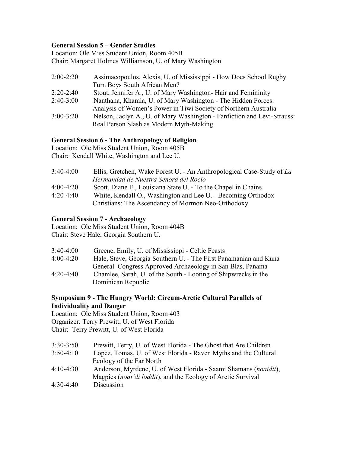# **General Session 5 – Gender Studies**

Location: Ole Miss Student Union, Room 405B Chair: Margaret Holmes Williamson, U. of Mary Washington

| $2:00-2:20$   | Assimacopoulos, Alexis, U. of Mississippi - How Does School Rugby       |
|---------------|-------------------------------------------------------------------------|
|               | Turn Boys South African Men?                                            |
| $2:20-2:40$   | Stout, Jennifer A., U. of Mary Washington-Hair and Femininity           |
| $2:40-3:00$   | Nanthana, Khamla, U. of Mary Washington - The Hidden Forces:            |
|               | Analysis of Women's Power in Tiwi Society of Northern Australia         |
| $3:00 - 3:20$ | Nelson, Jaclyn A., U. of Mary Washington - Fanfiction and Levi-Strauss: |

# Real Person Slash as Modern Myth-Making

# **General Session 6 - The Anthropology of Religion**

Location: Ole Miss Student Union, Room 405B

Chair: Kendall White, Washington and Lee U.

| $3:40-4:00$ | Ellis, Gretchen, Wake Forest U. - An Anthropological Case-Study of La |
|-------------|-----------------------------------------------------------------------|
|             | Hermandad de Nuestra Senora del Rocio                                 |
| $4:00-4:20$ | Scott, Diane E., Louisiana State U. - To the Chapel in Chains         |
| $4:20-4:40$ | White, Kendall O., Washington and Lee U. - Becoming Orthodox          |
|             | Christians: The Ascendancy of Mormon Neo-Orthodoxy                    |

### **General Session 7 - Archaeology**

Location: Ole Miss Student Union, Room 404B Chair: Steve Hale, Georgia Southern U.

| $3:40-4:00$ | Greene, Emily, U. of Mississippi - Celtic Feasts                 |
|-------------|------------------------------------------------------------------|
| $4:00-4:20$ | Hale, Steve, Georgia Southern U. - The First Panamanian and Kuna |
|             | General Congress Approved Archaeology in San Blas, Panama        |
| $4:20-4:40$ | Chamlee, Sarah, U. of the South - Looting of Shipwrecks in the   |
|             | Dominican Republic                                               |

### **Symposium 9 - The Hungry World: Circum-Arctic Cultural Parallels of Individuality and Danger**

Location: Ole Miss Student Union, Room 403 Organizer: Terry Prewitt, U. of West Florida Chair: Terry Prewitt, U. of West Florida

| $3:30-3:50$ | Prewitt, Terry, U. of West Florida - The Ghost that Ate Children |
|-------------|------------------------------------------------------------------|
| $3:50-4:10$ | Lopez, Tomas, U. of West Florida - Raven Myths and the Cultural  |
|             | Ecology of the Far North                                         |
| $4:10-4:30$ | Anderson, Myrdene, U. of West Florida - Saami Shamans (noaidit), |
|             | Magpies (noai'di loddit), and the Ecology of Arctic Survival     |
| $4:30-4:40$ | Discussion                                                       |
|             |                                                                  |